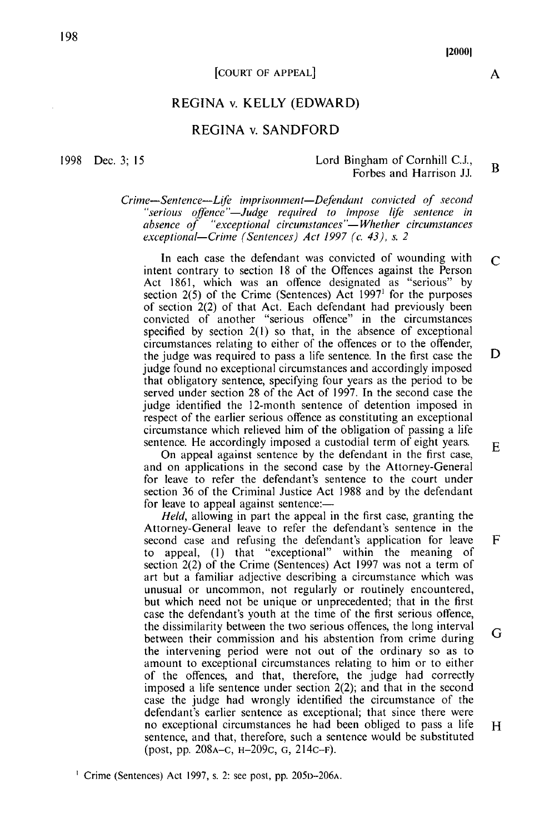#### **COURT OF APPEAL**

#### REGINA v. KELLY (EDWARD)

#### **REGINA v. SANDFORD**

1998 Dec. 3: 15

#### Lord Bingham of Cornhill C.J.,  $\mathbf{R}$ Forbes and Harrison JJ.

Crime-Sentence-Life imprisonment-Defendant convicted of second "serious offence"—Judge required to impose life sentence in absence  $of$  "exceptional circumstances"—Whether circumstances exceptional-Crime (Sentences) Act 1997 (c. 43), s. 2

In each case the defendant was convicted of wounding with  $\mathcal{C}$ intent contrary to section 18 of the Offences against the Person Act 1861, which was an offence designated as "serious" by section  $2(5)$  of the Crime (Sentences) Act 1997<sup>1</sup> for the purposes of section 2(2) of that Act. Each defendant had previously been convicted of another "serious offence" in the circumstances specified by section  $2(1)$  so that, in the absence of exceptional circumstances relating to either of the offences or to the offender, D the judge was required to pass a life sentence. In the first case the judge found no exceptional circumstances and accordingly imposed that obligatory sentence, specifying four years as the period to be served under section 28 of the Act of 1997. In the second case the judge identified the 12-month sentence of detention imposed in respect of the earlier serious offence as constituting an exceptional circumstance which relieved him of the obligation of passing a life sentence. He accordingly imposed a custodial term of eight years.  $E$ 

On appeal against sentence by the defendant in the first case, and on applications in the second case by the Attorney-General for leave to refer the defendant's sentence to the court under section 36 of the Criminal Justice Act 1988 and by the defendant for leave to appeal against sentence:-

*Held*, allowing in part the appeal in the first case, granting the Attorney-General leave to refer the defendant's sentence in the second case and refusing the defendant's application for leave F to appeal, (1) that "exceptional" within the meaning of section 2(2) of the Crime (Sentences) Act 1997 was not a term of art but a familiar adjective describing a circumstance which was unusual or uncommon, not regularly or routinely encountered, but which need not be unique or unprecedented; that in the first case the defendant's youth at the time of the first serious offence, the dissimilarity between the two serious offences, the long interval G between their commission and his abstention from crime during the intervening period were not out of the ordinary so as to amount to exceptional circumstances relating to him or to either of the offences, and that, therefore, the judge had correctly imposed a life sentence under section  $2(2)$ ; and that in the second case the judge had wrongly identified the circumstance of the defendant's earlier sentence as exceptional; that since there were no exceptional circumstances he had been obliged to pass a life sentence, and that, therefore, such a sentence would be substituted (post, pp. 208A–C, H–209C, G, 214C–F).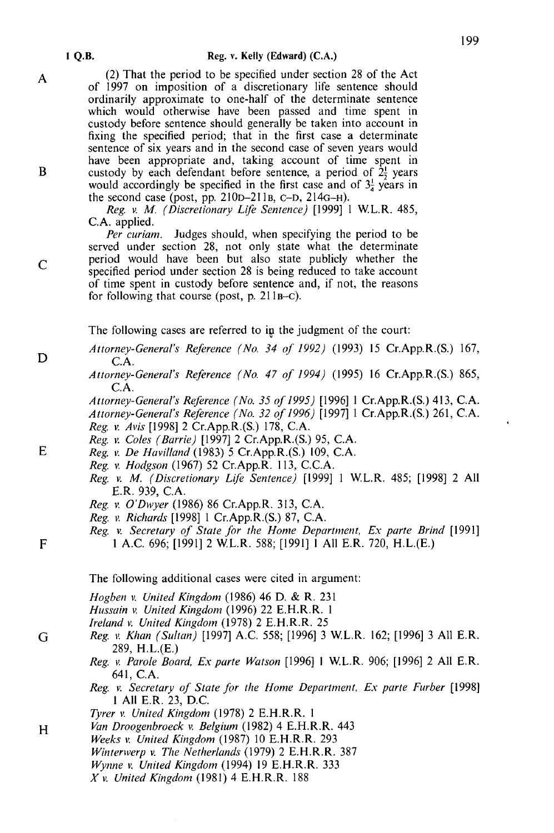(2) That the period to be specified under section 28 of the Act of 1997 on imposition of a discretionary life sentence should ordinarily approximate to one-half of the determinate sentence which would otherwise have been passed and time spent in custody before sentence should generally be taken into account in fixing the specified period: that in the first case a determinate sentence of six years and in the second case of seven years would have been appropriate and, taking account of time spent in custody by each defendant before sentence, a period of  $2\frac{1}{2}$  years would accordingly be specified in the first case and of  $3\frac{1}{4}$  years in the second case (post, pp. 210p-211<sub>B</sub>, c-D, 214<sub>G-H</sub>).

Reg. v. M. (Discretionary Life Sentence) [1999] 1 W.L.R. 485, C.A. applied.

Per curiam. Judges should, when specifying the period to be served under section 28, not only state what the determinate period would have been but also state publicly whether the specified period under section 28 is being reduced to take account of time spent in custody before sentence and, if not, the reasons for following that course (post, p.  $211B-C$ ).

The following cases are referred to in the judgment of the court:

Attorney-General's Reference (No. 34 of 1992) (1993) 15 Cr.App.R.(S.) 167, C.A.

Attorney-General's Reference (No. 47 of 1994) (1995) 16 Cr.App.R.(S.) 865,  $C.A.$ 

Attorney-General's Reference (No. 35 of 1995) [1996] 1 Cr.App.R.(S.) 413, C.A. Attorney-General's Reference (No. 32 of 1996) [1997] 1 Cr.App.R.(S.) 261, C.A. Reg. v. Avis [1998] 2 Cr.App.R.(S.) 178, C.A.

- Reg. v. Coles (Barrie) [1997] 2 Cr.App.R.(S.) 95, C.A.
- Reg. v. De Havilland (1983) 5 Cr. App. R. (S.) 109, C.A.
- Reg. v. Hodgson (1967) 52 Cr. App. R. 113, C.C.A.
- Reg. v. M. (Discretionary Life Sentence) [1999] 1 W.L.R. 485; [1998] 2 All E.R. 939, C.A.
- Reg. v. O'Dwyer (1986) 86 Cr. App. R. 313, C.A.
- Reg. v. Richards [1998] 1 Cr.App.R.(S.) 87, C.A.
- Reg. v. Secretary of State for the Home Department, Ex parte Brind [1991] 1 A.C. 696; [1991] 2 W.L.R. 588; [1991] 1 All E.R. 720, H.L.(E.)

The following additional cases were cited in argument:

Hogben v. United Kingdom (1986) 46 D. & R. 231

- Hussain v. United Kingdom (1996) 22 E.H.R.R. 1
- Ireland v. United Kingdom (1978) 2 E.H.R.R. 25
- Reg. v. Khan (Sultan) [1997] A.C. 558; [1996] 3 W.L.R. 162; [1996] 3 All E.R. 289, H.L.(E.)
	- Reg. v. Parole Board, Ex parte Watson [1996] 1 W.L.R. 906; [1996] 2 All E.R. 641. C.A.
	- Reg. v. Secretary of State for the Home Department, Ex parte Furber [1998] 1 All E.R. 23, D.C.
	- Tyrer v. United Kingdom (1978) 2 E.H.R.R. 1
- Van Droogenbroeck v. Belgium (1982) 4 E.H.R.R. 443
- Weeks v. United Kingdom (1987) 10 E.H.R.R. 293
- Winterwerp v. The Netherlands (1979) 2 E.H.R.R. 387
- Wynne v. United Kingdom (1994) 19 E.H.R.R. 333
	- $X$  v. United Kingdom (1981) 4 E.H.R.R. 188

 $\overline{C}$ 

A

E

D

- $\overline{F}$
-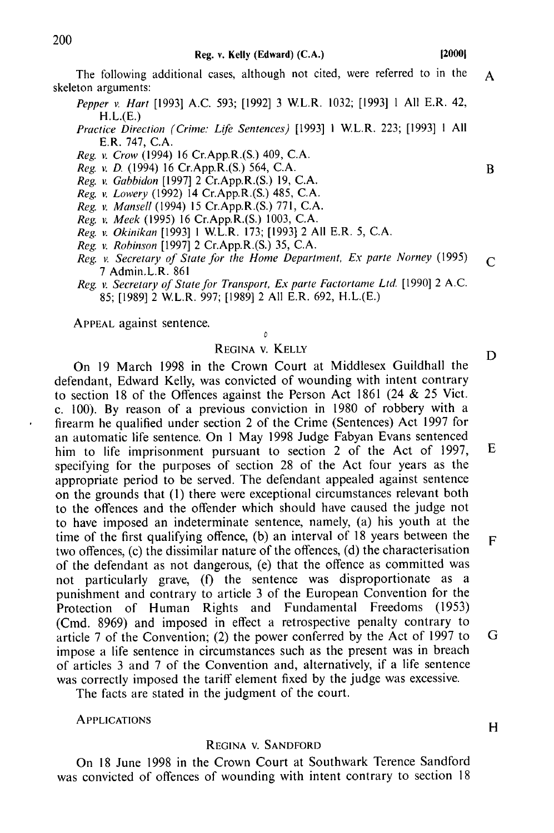On 18 June 1998 in the Crown Court at Southwark Terence Sandford was convicted of offences of wounding with intent contrary to section 18

The following additional cases, although not cited, were referred to in the  $\mathbf{A}$ skeleton arguments:

- Pepper v. Hart [1993] A.C. 593; [1992] 3 W.L.R. 1032; [1993] 1 All E.R. 42,  $H.L.E.$
- Practice Direction (Crime: Life Sentences) [1993] 1 W.L.R. 223; [1993] 1 All E.R. 747, C.A.
- Reg. v. Crow (1994) 16 Cr.App.R.(S.) 409, C.A.
- Reg. v. D. (1994) 16 Cr.App.R.(S.) 564, C.A.
- Reg. v. Gabbidon [1997] 2 Cr.App.R.(S.) 19, C.A.
- Reg. v. Lowery (1992) 14 Cr.App.R.(S.) 485, C.A.
- Reg. v. Mansell (1994) 15 Cr.App.R.(S.) 771, C.A.
- Reg. v. Meek (1995) 16 Cr.App.R.(S.) 1003, C.A.
- Reg. v. Okinikan [1993] 1 W.L.R. 173; [1993] 2 All E.R. 5, C.A.
- Reg. v. Robinson [1997] 2 Cr.App.R.(S.) 35, C.A.
- Reg. v. Secretary of State for the Home Department, Ex parte Norney (1995)  $\mathsf{C}$ 7 Admin.L.R. 861
- Reg. v. Secretary of State for Transport, Ex parte Factortame Ltd. [1990] 2 A.C. 85: [1989] 2 W.L.R. 997: [1989] 2 All E.R. 692, H.L.(E.)

APPEAL against sentence.

### $\overline{a}$ REGINA V. KELLY

D On 19 March 1998 in the Crown Court at Middlesex Guildhall the defendant, Edward Kelly, was convicted of wounding with intent contrary to section 18 of the Offences against the Person Act 1861 (24 & 25 Vict. c. 100). By reason of a previous conviction in 1980 of robbery with a firearm he qualified under section 2 of the Crime (Sentences) Act 1997 for an automatic life sentence. On 1 May 1998 Judge Fabyan Evans sentenced him to life imprisonment pursuant to section 2 of the Act of 1997, E specifying for the purposes of section 28 of the Act four years as the appropriate period to be served. The defendant appealed against sentence on the grounds that (1) there were exceptional circumstances relevant both to the offences and the offender which should have caused the judge not to have imposed an indeterminate sentence, namely, (a) his youth at the time of the first qualifying offence, (b) an interval of 18 years between the  $\mathbf{F}$ two offences, (c) the dissimilar nature of the offences, (d) the characterisation of the defendant as not dangerous, (e) that the offence as committed was not particularly grave, (f) the sentence was disproportionate as a punishment and contrary to article 3 of the European Convention for the Protection of Human Rights and Fundamental Freedoms (1953) (Cmd. 8969) and imposed in effect a retrospective penalty contrary to article 7 of the Convention; (2) the power conferred by the Act of 1997 to G impose a life sentence in circumstances such as the present was in breach of articles 3 and 7 of the Convention and, alternatively, if a life sentence was correctly imposed the tariff element fixed by the judge was excessive.

The facts are stated in the judgment of the court.

**APPLICATIONS** 

#### REGINA V. SANDFORD

 $\overline{B}$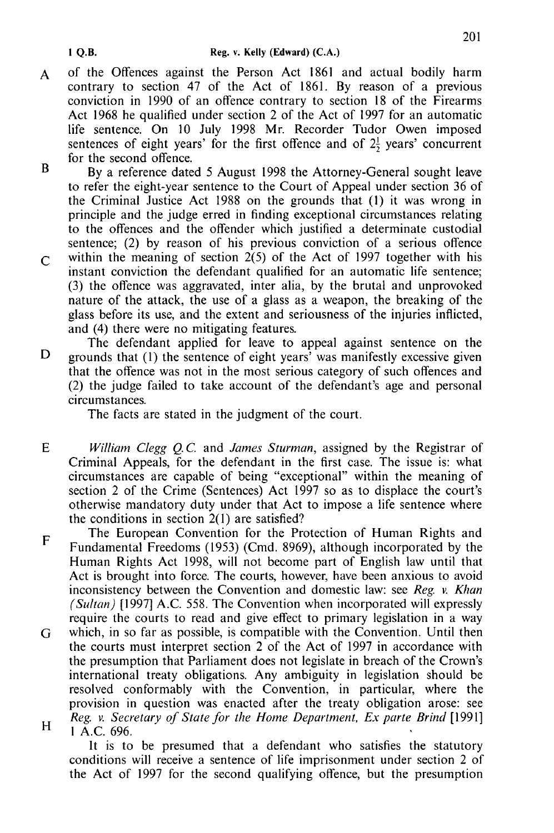- of the Offences against the Person Act 1861 and actual bodily harm  $\mathbf{A}$ contrary to section 47 of the Act of 1861. By reason of a previous conviction in 1990 of an offence contrary to section 18 of the Firearms Act 1968 he qualified under section 2 of the Act of 1997 for an automatic life sentence. On 10 July 1998 Mr. Recorder Tudor Owen imposed sentences of eight years' for the first offence and of  $2\frac{1}{2}$  years' concurrent for the second offence.
- $\overline{\mathbf{R}}$ By a reference dated 5 August 1998 the Attorney-General sought leave to refer the eight-year sentence to the Court of Appeal under section 36 of the Criminal Justice Act 1988 on the grounds that (1) it was wrong in principle and the judge erred in finding exceptional circumstances relating to the offences and the offender which justified a determinate custodial sentence; (2) by reason of his previous conviction of a serious offence within the meaning of section  $2(5)$  of the Act of 1997 together with his  $\overline{C}$ instant conviction the defendant qualified for an automatic life sentence; (3) the offence was aggravated, inter alia, by the brutal and unprovoked nature of the attack, the use of a glass as a weapon, the breaking of the glass before its use, and the extent and seriousness of the injuries inflicted. and (4) there were no mitigating features.
- The defendant applied for leave to appeal against sentence on the D grounds that (1) the sentence of eight years' was manifestly excessive given that the offence was not in the most serious category of such offences and (2) the judge failed to take account of the defendant's age and personal circumstances.

The facts are stated in the judgment of the court.

 $E$ William Clegg Q.C. and James Sturman, assigned by the Registrar of Criminal Appeals, for the defendant in the first case. The issue is: what circumstances are capable of being "exceptional" within the meaning of section 2 of the Crime (Sentences) Act 1997 so as to displace the court's otherwise mandatory duty under that Act to impose a life sentence where the conditions in section  $2(1)$  are satisfied?

The European Convention for the Protection of Human Rights and  $F$ Fundamental Freedoms (1953) (Cmd. 8969), although incorporated by the Human Rights Act 1998, will not become part of English law until that Act is brought into force. The courts, however, have been anxious to avoid inconsistency between the Convention and domestic law: see Reg. v. Khan (Sultan) [1997] A.C. 558. The Convention when incorporated will expressly require the courts to read and give effect to primary legislation in a way

which, in so far as possible, is compatible with the Convention. Until then G the courts must interpret section 2 of the Act of 1997 in accordance with the presumption that Parliament does not legislate in breach of the Crown's international treaty obligations. Any ambiguity in legislation should be resolved conformably with the Convention, in particular, where the provision in question was enacted after the treaty obligation arose: see Reg. v. Secretary of State for the Home Department, Ex parte Brind [1991]  $H$ 1 A.C. 696.

It is to be presumed that a defendant who satisfies the statutory conditions will receive a sentence of life imprisonment under section 2 of the Act of 1997 for the second qualifying offence, but the presumption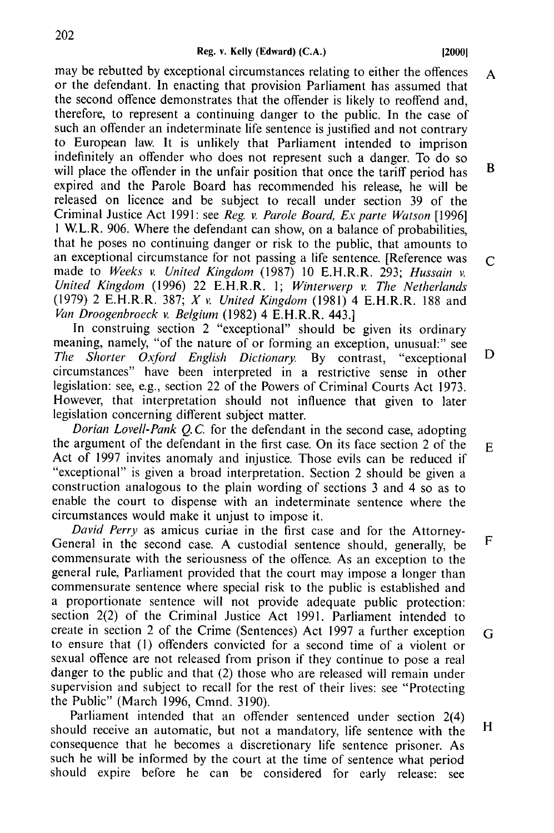120001

may be rebutted by exceptional circumstances relating to either the offences  $\mathbf{A}$ or the defendant. In enacting that provision Parliament has assumed that the second offence demonstrates that the offender is likely to reoffend and therefore, to represent a continuing danger to the public. In the case of such an offender an indeterminate life sentence is justified and not contrary to European law. It is unlikely that Parliament intended to imprison indefinitely an offender who does not represent such a danger. To do so  $\mathbf{R}$ will place the offender in the unfair position that once the tariff period has expired and the Parole Board has recommended his release, he will be released on licence and be subject to recall under section 39 of the Criminal Justice Act 1991: see Reg. v. Parole Board. Ex parte Watson [1996] 1 W.L.R. 906. Where the defendant can show, on a balance of probabilities, that he poses no continuing danger or risk to the public, that amounts to an exceptional circumstance for not passing a life sentence. [Reference was  $\mathsf{C}$ made to Weeks v. United Kingdom (1987) 10 E.H.R.R. 293; Hussain v. United Kingdom (1996) 22 E.H.R.R. 1; Winterwerp v. The Netherlands (1979) 2 E.H.R.R. 387; X v. United Kingdom (1981) 4 E.H.R.R. 188 and Van Droogenbroeck v. Belgium (1982) 4 E.H.R.R. 443.]

In construing section 2 "exceptional" should be given its ordinary meaning, namely, "of the nature of or forming an exception, unusual:" see D The Shorter Oxford English Dictionary. By contrast. "exceptional circumstances" have been interpreted in a restrictive sense in other legislation: see, e.g., section 22 of the Powers of Criminal Courts Act 1973. However, that interpretation should not influence that given to later legislation concerning different subject matter.

Dorian Lovell-Pank O.C. for the defendant in the second case, adopting the argument of the defendant in the first case. On its face section 2 of the E Act of 1997 invites anomaly and injustice. Those evils can be reduced if "exceptional" is given a broad interpretation. Section 2 should be given a construction analogous to the plain wording of sections 3 and 4 so as to enable the court to dispense with an indeterminate sentence where the circumstances would make it uniust to impose it.

David Perry as amicus curiae in the first case and for the Attorney-F General in the second case. A custodial sentence should, generally, be commensurate with the seriousness of the offence. As an exception to the general rule, Parliament provided that the court may impose a longer than commensurate sentence where special risk to the public is established and a proportionate sentence will not provide adequate public protection: section 2(2) of the Criminal Justice Act 1991. Parliament intended to create in section 2 of the Crime (Sentences) Act 1997 a further exception G to ensure that (1) offenders convicted for a second time of a violent or sexual offence are not released from prison if they continue to pose a real danger to the public and that (2) those who are released will remain under supervision and subject to recall for the rest of their lives: see "Protecting the Public" (March 1996, Cmnd. 3190).

Parliament intended that an offender sentenced under section  $2(4)$ H should receive an automatic, but not a mandatory, life sentence with the consequence that he becomes a discretionary life sentence prisoner. As such he will be informed by the court at the time of sentence what period should expire before he can be considered for early release; see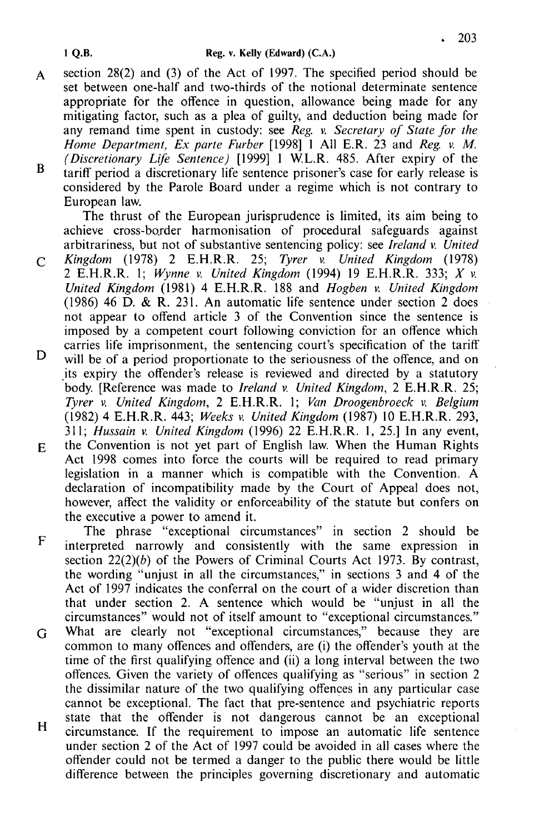- section 28(2) and (3) of the Act of 1997. The specified period should be  $\mathbf{A}$ set between one-half and two-thirds of the notional determinate sentence appropriate for the offence in question, allowance being made for any mitigating factor, such as a plea of guilty, and deduction being made for any remand time spent in custody: see Reg. v. Secretary of State for the Home Department,  $Ex$  parte Furber [1998]  $\vert$  All E.R. 23 and Reg. v. M. (Discretionary Life Sentence) [1999] 1 W.L.R. 485. After expiry of the  $\overline{\mathbf{B}}$ tariff period a discretionary life sentence prisoner's case for early release is
- considered by the Parole Board under a regime which is not contrary to European law.

The thrust of the European jurisprudence is limited, its aim being to achieve cross-border harmonisation of procedural safeguards against arbitrariness, but not of substantive sentencing policy: see *Ireland v. United* 

- Kingdom  $(1978)$  2 E.H.R.R. 25; Tyrer v. United Kingdom (1978)  $\overline{C}$ 2 E.H.R.R. 1; Wynne v. United Kingdom (1994) 19 E.H.R.R. 333;  $X$  v. United Kingdom (1981) 4 E.H.R.R. 188 and Hogben v. United Kingdom  $(1986)$  46 D, & R, 231. An automatic life sentence under section 2 does not appear to offend article 3 of the Convention since the sentence is imposed by a competent court following conviction for an offence which carries life imprisonment, the sentencing court's specification of the tariff
- D will be of a period proportionate to the seriousness of the offence, and on its expiry the offender's release is reviewed and directed by a statutory body. [Reference was made to *Ireland v. United Kingdom*, 2 E.H.R.R. 25; Tyrer v. United Kingdom, 2 E.H.R.R. 1: Van Droogenbroeck v. Belgium (1982) 4 E.H.R.R. 443; Weeks v. United Kingdom (1987) 10 E.H.R.R. 293, 311; Hussain v. United Kingdom (1996) 22  $E.H.R.R.$  1, 25.] In any event,
- the Convention is not yet part of English law. When the Human Rights E. Act 1998 comes into force the courts will be required to read primary legislation in a manner which is compatible with the Convention. A declaration of incompatibility made by the Court of Appeal does not, however, affect the validity or enforceability of the statute but confers on the executive a power to amend it.

The phrase "exceptional circumstances" in section 2 should be  $\mathbf F$ interpreted narrowly and consistently with the same expression in section  $22(2)(b)$  of the Powers of Criminal Courts Act 1973. By contrast, the wording "unjust in all the circumstances," in sections 3 and 4 of the Act of 1997 indicates the conferral on the court of a wider discretion than that under section 2. A sentence which would be "unjust in all the circumstances" would not of itself amount to "exceptional circumstances."

- What are clearly not "exceptional circumstances," because they are G common to many offences and offenders, are (i) the offender's youth at the time of the first qualifying offence and (ii) a long interval between the two offences. Given the variety of offences qualifying as "serious" in section 2 the dissimilar nature of the two qualifying offences in any particular case cannot be exceptional. The fact that pre-sentence and psychiatric reports
- state that the offender is not dangerous cannot be an exceptional  $H$ circumstance. If the requirement to impose an automatic life sentence under section 2 of the Act of 1997 could be avoided in all cases where the offender could not be termed a danger to the public there would be little difference between the principles governing discretionary and automatic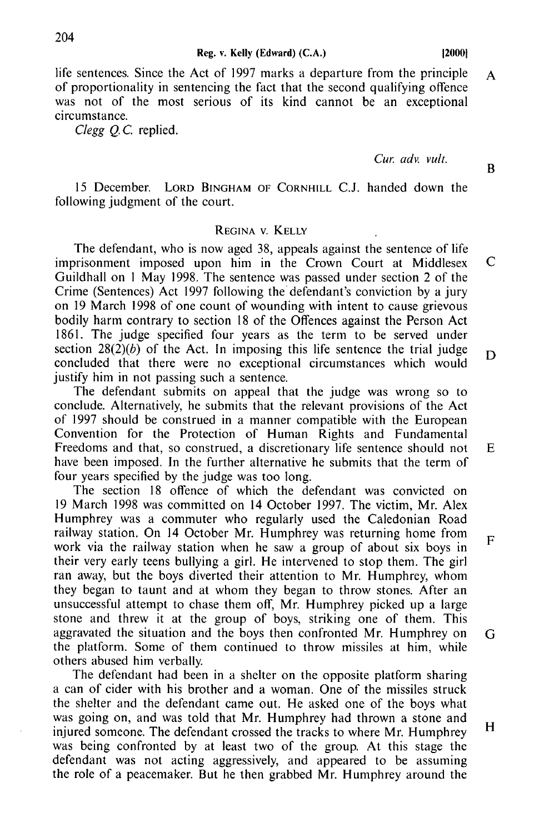Reg. v. Kelly (Edward) (C.A.)

life sentences. Since the Act of 1997 marks a departure from the principle  $\Lambda$ of proportionality in sentencing the fact that the second qualifying offence was not of the most serious of its kind cannot be an exceptional circumstance.

Clegg O.C. replied.

Cur adv vult

15 December. LORD BINGHAM OF CORNHILL C.J. handed down the following judgment of the court.

### REGINA V. KELLY

The defendant, who is now aged 38, appeals against the sentence of life  $\mathbf C$ imprisonment imposed upon him in the Crown Court at Middlesex Guildhall on 1 May 1998. The sentence was passed under section 2 of the Crime (Sentences) Act 1997 following the defendant's conviction by a jury on 19 March 1998 of one count of wounding with intent to cause grievous bodily harm contrary to section 18 of the Offences against the Person Act 1861. The judge specified four years as the term to be served under section  $28(2)(b)$  of the Act. In imposing this life sentence the trial judge D concluded that there were no exceptional circumstances which would justify him in not passing such a sentence.

The defendant submits on appeal that the judge was wrong so to conclude. Alternatively, he submits that the relevant provisions of the Act of 1997 should be construed in a manner compatible with the European Convention for the Protection of Human Rights and Fundamental Freedoms and that, so construed, a discretionary life sentence should not have been imposed. In the further alternative he submits that the term of four years specified by the judge was too long.

The section 18 offence of which the defendant was convicted on 19 March 1998 was committed on 14 October 1997. The victim, Mr. Alex Humphrey was a commuter who regularly used the Caledonian Road railway station. On 14 October Mr. Humphrey was returning home from  $\overline{F}$ work via the railway station when he saw a group of about six boys in their very early teens bullying a girl. He intervened to stop them. The girl ran away, but the boys diverted their attention to Mr. Humphrey, whom they began to taunt and at whom they began to throw stones. After an unsuccessful attempt to chase them off, Mr. Humphrey picked up a large stone and threw it at the group of boys, striking one of them. This aggravated the situation and the boys then confronted Mr. Humphrey on G the platform. Some of them continued to throw missiles at him, while others abused him verbally.

The defendant had been in a shelter on the opposite platform sharing a can of cider with his brother and a woman. One of the missiles struck the shelter and the defendant came out. He asked one of the boys what was going on, and was told that Mr. Humphrey had thrown a stone and  $H$ injured someone. The defendant crossed the tracks to where Mr. Humphrey was being confronted by at least two of the group. At this stage the defendant was not acting aggressively, and appeared to be assuming the role of a peacemaker. But he then grabbed Mr. Humphrey around the

 $\mathbf{R}$ 

 $E$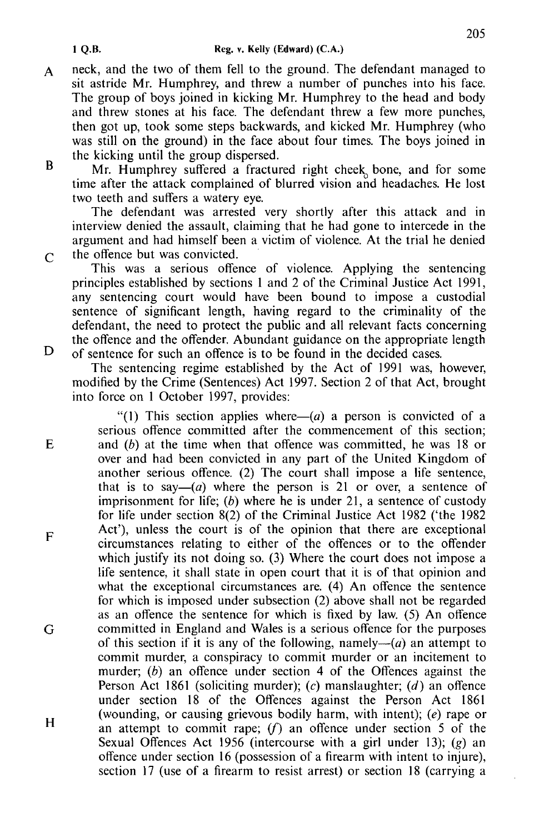- neck, and the two of them fell to the ground. The defendant managed to  $\mathbf{A}$ sit astride Mr. Humphrey, and threw a number of punches into his face. The group of boys joined in kicking Mr. Humphrey to the head and body and threw stones at his face. The defendant threw a few more punches. then got up, took some steps backwards, and kicked Mr. Humphrey (who was still on the ground) in the face about four times. The boys joined in the kicking until the group dispersed.
- $\overline{\mathbf{R}}$ Mr. Humphrey suffered a fractured right cheek bone, and for some time after the attack complained of blurred vision and headaches. He lost two teeth and suffers a watery eve.

The defendant was arrested very shortly after this attack and in interview denied the assault, claiming that he had gone to intercede in the argument and had himself been a victim of violence. At the trial he denied the offence but was convicted.

This was a serious offence of violence. Applying the sentencing principles established by sections 1 and 2 of the Criminal Justice Act 1991. any sentencing court would have been bound to impose a custodial sentence of significant length, having regard to the criminality of the defendant, the need to protect the public and all relevant facts concerning the offence and the offender. Abundant guidance on the appropriate length of sentence for such an offence is to be found in the decided cases.

The sentencing regime established by the Act of 1991 was, however, modified by the Crime (Sentences) Act 1997. Section 2 of that Act, brought into force on 1 October 1997, provides:

"(1) This section applies where  $(a)$  a person is convicted of a serious offence committed after the commencement of this section; and  $(b)$  at the time when that offence was committed, he was 18 or over and had been convicted in any part of the United Kingdom of another serious offence. (2) The court shall impose a life sentence, that is to say— $(a)$  where the person is 21 or over, a sentence of imprisonment for life;  $(b)$  where he is under 21, a sentence of custody for life under section 8(2) of the Criminal Justice Act 1982 ('the 1982 Act'), unless the court is of the opinion that there are exceptional circumstances relating to either of the offences or to the offender which justify its not doing so. (3) Where the court does not impose a life sentence, it shall state in open court that it is of that opinion and what the exceptional circumstances are. (4) An offence the sentence for which is imposed under subsection (2) above shall not be regarded as an offence the sentence for which is fixed by law. (5) An offence committed in England and Wales is a serious offence for the purposes of this section if it is any of the following, namely— $(a)$  an attempt to commit murder, a conspiracy to commit murder or an incitement to murder: (b) an offence under section 4 of the Offences against the Person Act 1861 (soliciting murder); (c) manslaughter; (d) an offence under section 18 of the Offences against the Person Act 1861 (wounding, or causing grievous bodily harm, with intent);  $(e)$  rape or an attempt to commit rape;  $(f)$  an offence under section 5 of the Sexual Offences Act 1956 (intercourse with a girl under 13); (g) an offence under section 16 (possession of a firearm with intent to injure), section 17 (use of a firearm to resist arrest) or section 18 (carrying a

 $\overline{C}$ 

 $\mathbf D$ 

 $E$ 

 $\mathbf{F}$ 

G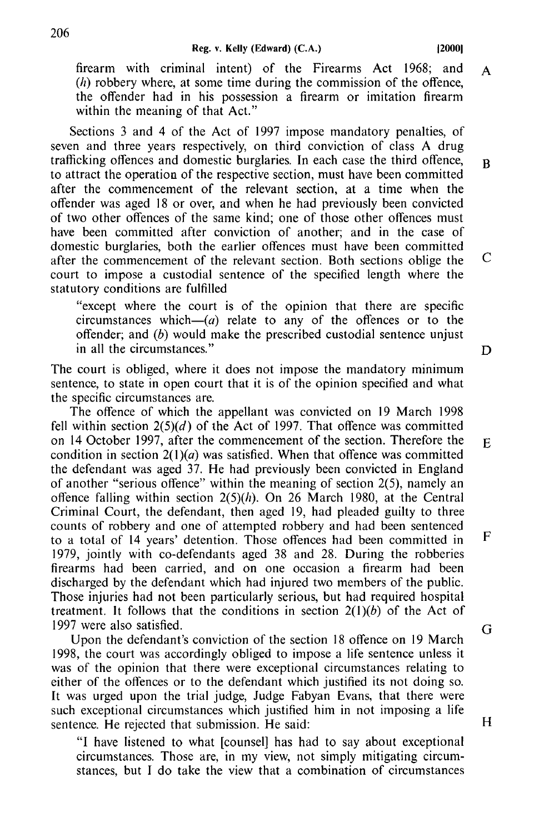firearm with criminal intent) of the Firearms Act 1968; and  $\mathbf{A}$  $(h)$  robbery where, at some time during the commission of the offence. the offender had in his possession a firearm or imitation firearm within the meaning of that Act."

Sections 3 and 4 of the Act of 1997 impose mandatory penalties, of seven and three years respectively, on third conviction of class A drug trafficking offences and domestic burglaries. In each case the third offence, to attract the operation of the respective section, must have been committed after the commencement of the relevant section, at a time when the offender was aged 18 or over, and when he had previously been convicted of two other offences of the same kind: one of those other offences must have been committed after conviction of another; and in the case of domestic burglaries, both the earlier offences must have been committed after the commencement of the relevant section. Both sections oblige the court to impose a custodial sentence of the specified length where the statutory conditions are fulfilled

"except where the court is of the opinion that there are specific circumstances which— $(a)$  relate to any of the offences or to the offender; and  $(b)$  would make the prescribed custodial sentence uniust in all the circumstances."

The court is obliged, where it does not impose the mandatory minimum sentence, to state in open court that it is of the opinion specified and what the specific circumstances are.

The offence of which the appellant was convicted on 19 March 1998 fell within section  $2(5)(d)$  of the Act of 1997. That offence was committed on 14 October 1997, after the commencement of the section. Therefore the condition in section  $2(1)(a)$  was satisfied. When that offence was committed the defendant was aged 37. He had previously been convicted in England of another "serious offence" within the meaning of section  $2(5)$ , namely an offence falling within section  $2(5)(h)$ . On 26 March 1980, at the Central Criminal Court, the defendant, then aged 19, had pleaded guilty to three counts of robbery and one of attempted robbery and had been sentenced to a total of 14 years' detention. Those offences had been committed in 1979, jointly with co-defendants aged 38 and 28. During the robberies firearms had been carried, and on one occasion a firearm had been discharged by the defendant which had injured two members of the public. Those injuries had not been particularly serious, but had required hospital treatment. It follows that the conditions in section  $2(1)(b)$  of the Act of 1997 were also satisfied.

Upon the defendant's conviction of the section 18 offence on 19 March 1998, the court was accordingly obliged to impose a life sentence unless it was of the opinion that there were exceptional circumstances relating to either of the offences or to the defendant which justified its not doing so. It was urged upon the trial judge, Judge Fabyan Evans, that there were such exceptional circumstances which justified him in not imposing a life sentence. He rejected that submission. He said:

"I have listened to what [counsel] has had to say about exceptional circumstances. Those are, in my view, not simply mitigating circumstances, but I do take the view that a combination of circumstances D

E.

F

G

 $\overline{\mathbf{R}}$ 

 $\mathcal{C}$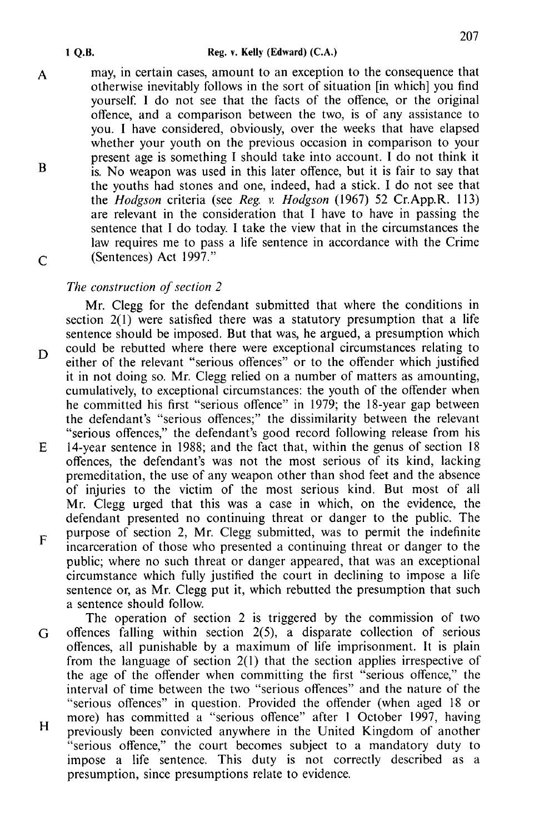may, in certain cases, amount to an exception to the consequence that  $\mathbf{A}$ otherwise inevitably follows in the sort of situation [in which] you find vourself. I do not see that the facts of the offence, or the original offence, and a comparison between the two, is of any assistance to you. I have considered, obviously, over the weeks that have elapsed whether your youth on the previous occasion in comparison to your present age is something I should take into account. I do not think it  $\overline{B}$ is. No weapon was used in this later offence, but it is fair to say that the vouths had stones and one, indeed, had a stick. I do not see that the *Hodeson* criteria (see Reg. v. Hodeson (1967) 52 Cr.App.R. 113) are relevant in the consideration that I have to have in passing the sentence that I do today. I take the view that in the circumstances the law requires me to pass a life sentence in accordance with the Crime (Sentences) Act 1997."  $\overline{C}$ 

# The construction of section 2

1 O.B.

Mr. Clegg for the defendant submitted that where the conditions in section  $2(1)$  were satisfied there was a statutory presumption that a life sentence should be imposed. But that was, he argued, a presumption which could be rebutted where there were exceptional circumstances relating to D either of the relevant "serious offences" or to the offender which justified it in not doing so. Mr. Clegg relied on a number of matters as amounting, cumulatively, to exceptional circumstances: the youth of the offender when he committed his first "serious offence" in 1979; the 18-year gap between the defendant's "serious offences;" the dissimilarity between the relevant "serious offences," the defendant's good record following release from his E 14-year sentence in 1988; and the fact that, within the genus of section 18 offences, the defendant's was not the most serious of its kind, lacking premeditation, the use of any weapon other than shod feet and the absence of injuries to the victim of the most serious kind. But most of all Mr. Clegg urged that this was a case in which, on the evidence, the defendant presented no continuing threat or danger to the public. The purpose of section 2, Mr. Clegg submitted, was to permit the indefinite F incarceration of those who presented a continuing threat or danger to the public; where no such threat or danger appeared, that was an exceptional circumstance which fully justified the court in declining to impose a life sentence or, as Mr. Clegg put it, which rebutted the presumption that such a sentence should follow.

The operation of section 2 is triggered by the commission of two offences falling within section  $2(5)$ , a disparate collection of serious G offences, all punishable by a maximum of life imprisonment. It is plain from the language of section  $2(1)$  that the section applies irrespective of the age of the offender when committing the first "serious offence," the interval of time between the two "serious offences" and the nature of the "serious offences" in question. Provided the offender (when aged 18 or more) has committed a "serious offence" after 1 October 1997, having  $H$ previously been convicted anywhere in the United Kingdom of another "serious offence," the court becomes subject to a mandatory duty to impose a life sentence. This duty is not correctly described as a presumption, since presumptions relate to evidence.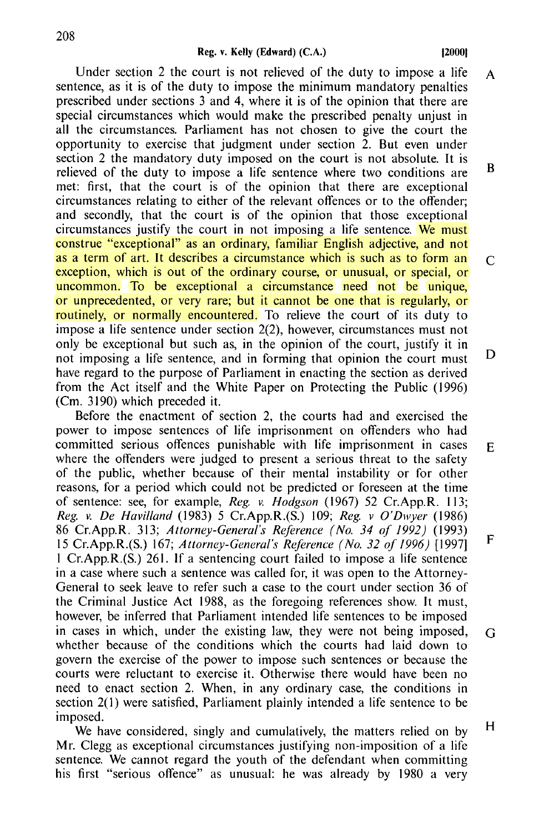Under section 2 the court is not relieved of the duty to impose a life sentence, as it is of the duty to impose the minimum mandatory penalties prescribed under sections 3 and 4, where it is of the opinion that there are special circumstances which would make the prescribed penalty unjust in all the circumstances. Parliament has not chosen to give the court the opportunity to exercise that judgment under section 2. But even under section 2 the mandatory duty imposed on the court is not absolute. It is relieved of the duty to impose a life sentence where two conditions are met: first, that the court is of the opinion that there are exceptional circumstances relating to either of the relevant offences or to the offender; and secondly, that the court is of the opinion that those exceptional circumstances justify the court in not imposing a life sentence. We must construe "exceptional" as an ordinary, familiar English adjective, and not as a term of art. It describes a circumstance which is such as to form an exception, which is out of the ordinary course, or unusual, or special, or uncommon. To be exceptional a circumstance need not be unique, or unprecedented, or very rare; but it cannot be one that is regularly, or routinely, or normally encountered. To relieve the court of its duty to impose a life sentence under section 2(2), however, circumstances must not only be exceptional but such as, in the opinion of the court, justify it in not imposing a life sentence, and in forming that opinion the court must have regard to the purpose of Parliament in enacting the section as derived from the Act itself and the White Paper on Protecting the Public ( 1996) (Cm. 3190) which preceded it. A B  $\mathcal{C}$ D

Before the enactment of section 2, the courts had and exercised the power to impose sentences of life imprisonment on offenders who had committed serious offences punishable with life imprisonment in cases where the offenders were judged to present a serious threat to the safety of the public, whether because of their mental instability or for other reasons, for a period which could not be predicted or foreseen at the time of sentence: see, for example, *Reg. v. Hodgson* ( 1967) 52 Cr.App.R. 113; *Reg. v. De Havilland* (1983) 5 Cr.App.R.(S.) 109; *Reg. v O'Dwyer* (1986) 86 Cr.App.R. 313; *Attorney-General's Reference (No. 34 of 1992)* (1993) 15 Cr.App.R.(S.) 167; *Attorney-General's Reference (No. 32 of 1996)* [1997] I Cr.App.R.(S.) 261. If a sentencing court failed to impose a life sentence in a case where such a sentence was called for, it was open to the Attorney-General to seek leave to refer such a case to the court under section 36 of the Criminal Justice Act 1988, as the foregoing references show. It must, however, be inferred that Parliament intended life sentences to be imposed in cases in which, under the existing law, they were not being imposed, whether because of the conditions which the courts had laid down to govern the exercise of the power to impose such sentences or because the courts were reluctant to exercise it. Otherwise there would have been no need to enact section 2. When, in any ordinary case, the conditions in section 2(1) were satisfied, Parliament plainly intended a life sentence to be imposed. E F G H

We have considered, singly and cumulatively, the matters relied on by Mr. Clegg as exceptional circumstances justifying non-imposition of a life sentence. We cannot regard the youth of the defendant when committing his first "serious offence" as unusual: he was already by 1980 a very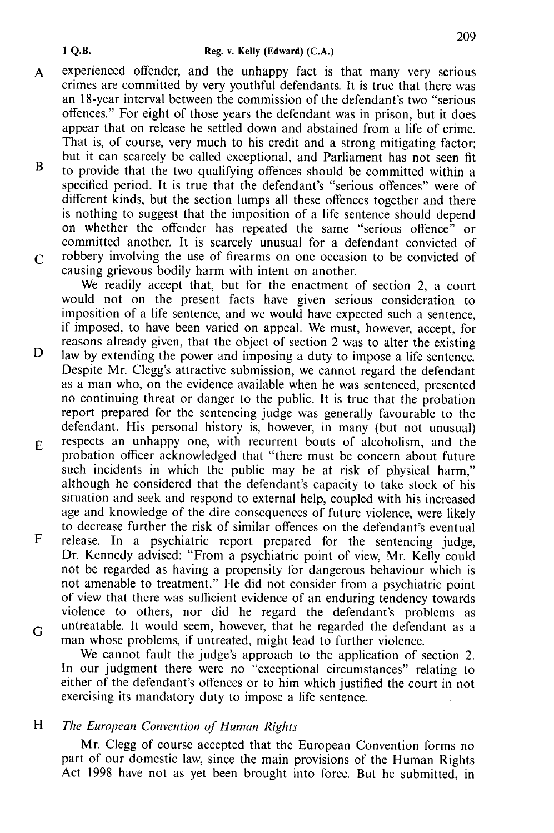- experienced offender, and the unhappy fact is that many very serious  $\mathbf{A}$ crimes are committed by very youthful defendants. It is true that there was an 18-vear interval between the commission of the defendant's two "serious offences." For eight of those years the defendant was in prison, but it does appear that on release he settled down and abstained from a life of crime. That is, of course, very much to his credit and a strong mitigating factor; but it can scarcely be called exceptional, and Parliament has not seen fit
- $\overline{\mathbf{R}}$ to provide that the two qualifying offences should be committed within a specified period. It is true that the defendant's "serious offences" were of different kinds, but the section lumps all these offences together and there is nothing to suggest that the imposition of a life sentence should depend on whether the offender has repeated the same "serious offence" or committed another. It is scarcely unusual for a defendant convicted of robbery involving the use of firearms on one occasion to be convicted of  $\mathcal{C}_{\mathcal{C}}$ causing grievous bodily harm with intent on another.

We readily accept that, but for the enactment of section 2, a court would not on the present facts have given serious consideration to imposition of a life sentence, and we would have expected such a sentence, if imposed, to have been varied on appeal. We must, however, accept, for reasons already given, that the object of section 2 was to alter the existing law by extending the power and imposing a duty to impose a life sentence. Despite Mr. Clegg's attractive submission, we cannot regard the defendant as a man who, on the evidence available when he was sentenced, presented no continuing threat or danger to the public. It is true that the probation report prepared for the sentencing judge was generally favourable to the defendant. His personal history is, however, in many (but not unusual)

- respects an unhappy one, with recurrent bouts of alcoholism, and the  $\mathbf{E}$ probation officer acknowledged that "there must be concern about future such incidents in which the public may be at risk of physical harm," although he considered that the defendant's capacity to take stock of his situation and seek and respond to external help, coupled with his increased age and knowledge of the dire consequences of future violence, were likely to decrease further the risk of similar offences on the defendant's eventual
- $\mathbf{F}$ release. In a psychiatric report prepared for the sentencing judge. Dr. Kennedy advised: "From a psychiatric point of view, Mr. Kelly could not be regarded as having a propensity for dangerous behaviour which is not amenable to treatment." He did not consider from a psychiatric point of view that there was sufficient evidence of an enduring tendency towards violence to others, nor did he regard the defendant's problems as untreatable. It would seem, however, that he regarded the defendant as a G man whose problems, if untreated, might lead to further violence.

We cannot fault the judge's approach to the application of section 2. In our judgment there were no "exceptional circumstances" relating to either of the defendant's offences or to him which justified the court in not exercising its mandatory duty to impose a life sentence.

#### H The European Convention of Human Rights

Mr. Clegg of course accepted that the European Convention forms no part of our domestic law, since the main provisions of the Human Rights Act 1998 have not as yet been brought into force. But he submitted, in

D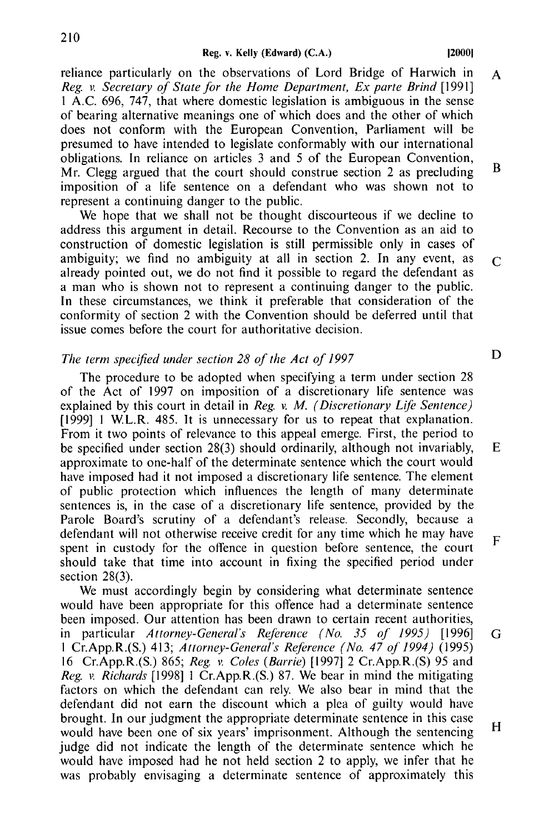reliance particularly on the observations of Lord Bridge of Harwich in  $\mathbf{A}$ Reg. v. Secretary of State for the Home Department, Ex parte Brind [1991] 1 A.C. 696, 747, that where domestic legislation is ambiguous in the sense of bearing alternative meanings one of which does and the other of which does not conform with the European Convention, Parliament will be presumed to have intended to legislate conformably with our international obligations. In reliance on articles 3 and 5 of the European Convention,  $\overline{B}$ Mr. Clegg argued that the court should construe section 2 as precluding imposition of a life sentence on a defendant who was shown not to represent a continuing danger to the public.

We hope that we shall not be thought discourteous if we decline to address this argument in detail. Recourse to the Convention as an aid to construction of domestic legislation is still permissible only in cases of ambiguity; we find no ambiguity at all in section 2. In any event, as already pointed out, we do not find it possible to regard the defendant as a man who is shown not to represent a continuing danger to the public. In these circumstances, we think it preferable that consideration of the conformity of section 2 with the Convention should be deferred until that issue comes before the court for authoritative decision.

#### The term specified under section 28 of the Act of 1997

The procedure to be adopted when specifying a term under section 28 of the Act of 1997 on imposition of a discretionary life sentence was explained by this court in detail in Reg. v.  $M$ . (Discretionary Life Sentence) [1999] 1 W.L.R. 485. It is unnecessary for us to repeat that explanation. From it two points of relevance to this appeal emerge. First, the period to be specified under section 28(3) should ordinarily, although not invariably, approximate to one-half of the determinate sentence which the court would have imposed had it not imposed a discretionary life sentence. The element of public protection which influences the length of many determinate sentences is, in the case of a discretionary life sentence, provided by the Parole Board's scrutiny of a defendant's release. Secondly, because a defendant will not otherwise receive credit for any time which he may have spent in custody for the offence in question before sentence, the court should take that time into account in fixing the specified period under section  $28(3)$ .

We must accordingly begin by considering what determinate sentence would have been appropriate for this offence had a determinate sentence been imposed. Our attention has been drawn to certain recent authorities, in particular Attorney-General's Reference (No. 35 of 1995) [1996] G 1 Cr.App.R.(S.) 413; Attorney-General's Reference (No. 47 of 1994) (1995) 16 Cr.App.R.(S.) 865; Reg. v. Coles (Barrie) [1997] 2 Cr.App.R.(S) 95 and Reg. v. Richards [1998] 1 Cr.App.R.(S.) 87. We bear in mind the mitigating factors on which the defendant can rely. We also bear in mind that the defendant did not earn the discount which a plea of guilty would have brought. In our judgment the appropriate determinate sentence in this case  $H$ would have been one of six years' imprisonment. Although the sentencing judge did not indicate the length of the determinate sentence which he would have imposed had he not held section 2 to apply, we infer that he was probably envisaging a determinate sentence of approximately this

D

E

F

 $\mathcal{C}$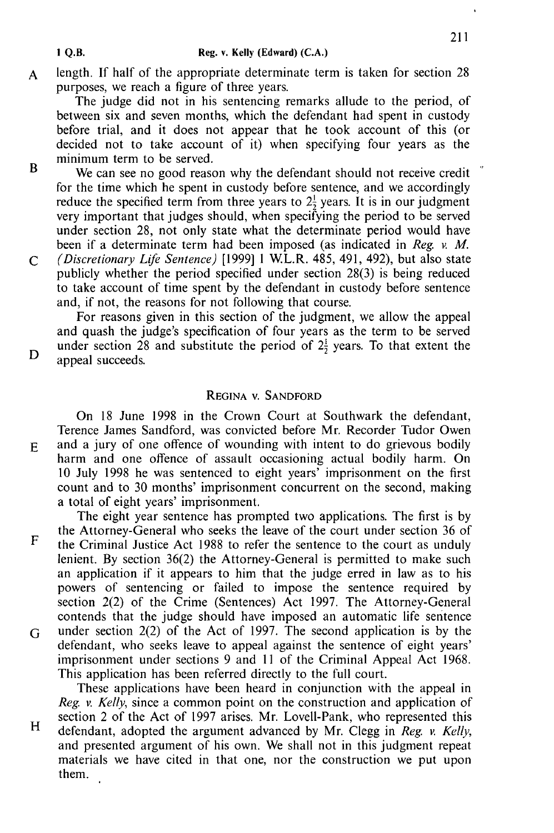length. If half of the appropriate determinate term is taken for section 28  $\mathbf{A}$ purposes, we reach a figure of three years.

The judge did not in his sentencing remarks allude to the period, of between six and seven months, which the defendant had spent in custody before trial, and it does not appear that he took account of this (or decided not to take account of it) when specifying four years as the minimum term to be served.

We can see no good reason why the defendant should not receive credit for the time which he spent in custody before sentence, and we accordingly reduce the specified term from three years to  $2\frac{1}{2}$  years. It is in our judgment very important that judges should, when specifying the period to be served under section 28, not only state what the determinate period would have been if a determinate term had been imposed (as indicated in Reg.  $\nu$ , M. *(Discretionary Life Sentence)* [1999] 1 W.L.R. 485, 491, 492), but also state

 $\mathcal{C}$ publicly whether the period specified under section 28(3) is being reduced to take account of time spent by the defendant in custody before sentence and, if not, the reasons for not following that course.

For reasons given in this section of the judgment, we allow the appeal and quash the judge's specification of four years as the term to be served under section 28 and substitute the period of  $2\frac{1}{2}$  years. To that extent the appeal succeeds.

## REGINA V SANDEORD

On 18 June 1998 in the Crown Court at Southwark the defendant, Terence James Sandford, was convicted before Mr. Recorder Tudor Owen and a jury of one offence of wounding with intent to do grievous bodily harm and one offence of assault occasioning actual bodily harm. On 10 July 1998 he was sentenced to eight years' imprisonment on the first count and to 30 months' imprisonment concurrent on the second, making a total of eight years' imprisonment.

The eight year sentence has prompted two applications. The first is by the Attorney-General who seeks the leave of the court under section 36 of  $\mathbf{F}$ the Criminal Justice Act 1988 to refer the sentence to the court as unduly lenient. By section 36(2) the Attorney-General is permitted to make such an application if it appears to him that the judge erred in law as to his powers of sentencing or failed to impose the sentence required by section 2(2) of the Crime (Sentences) Act 1997. The Attorney-General contends that the judge should have imposed an automatic life sentence under section  $2(2)$  of the Act of 1997. The second application is by the G defendant, who seeks leave to appeal against the sentence of eight years' imprisonment under sections 9 and 11 of the Criminal Appeal Act 1968. This application has been referred directly to the full court.

These applications have been heard in conjunction with the appeal in Reg. v. Kelly, since a common point on the construction and application of section 2 of the Act of 1997 arises. Mr. Lovell-Pank, who represented this H defendant, adopted the argument advanced by Mr. Clegg in Reg. v. Kelly, and presented argument of his own. We shall not in this judgment repeat materials we have cited in that one, nor the construction we put upon them.

1 O.B.

 $\overline{\mathbf{B}}$ 

D

 $E$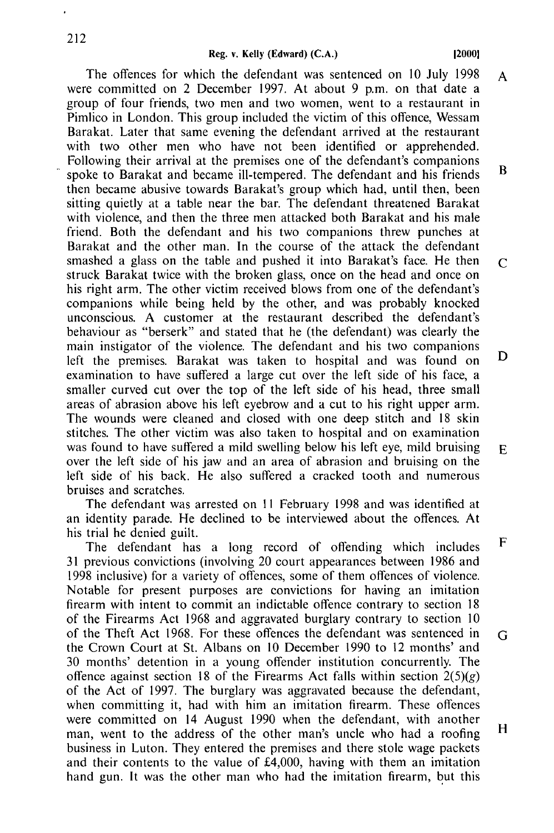The offences for which the defendant was sentenced on 10 July 1998 A were committed on 2 December 1997. At about 9 p.m. on that date a group of four friends, two men and two women, went to a restaurant in Pimlico in London. This group included the victim of this offence, Wessam Barakat. Later that same evening the defendant arrived at the restaurant with two other men who have not been identified or apprehended. Following their arrival at the premises one of the defendant's companions  $\overline{\mathbf{R}}$ spoke to Barakat and became ill-tempered. The defendant and his friends then became abusive towards Barakat's group which had, until then, been sitting quietly at a table near the bar. The defendant threatened Barakat with violence, and then the three men attacked both Barakat and his male friend. Both the defendant and his two companions threw punches at Barakat and the other man. In the course of the attack the defendant smashed a glass on the table and pushed it into Barakat's face. He then  $\overline{C}$ struck Barakat twice with the broken glass, once on the head and once on his right arm. The other victim received blows from one of the defendant's companions while being held by the other, and was probably knocked unconscious. A customer at the restaurant described the defendant's behaviour as "berserk" and stated that he (the defendant) was clearly the main instigator of the violence. The defendant and his two companions D left the premises. Barakat was taken to hospital and was found on examination to have suffered a large cut over the left side of his face, a smaller curved cut over the top of the left side of his head, three small areas of abrasion above his left evebrow and a cut to his right upper arm. The wounds were cleaned and closed with one deep stitch and 18 skin stitches. The other victim was also taken to hospital and on examination was found to have suffered a mild swelling below his left eye, mild bruising F. over the left side of his jaw and an area of abrasion and bruising on the left side of his back. He also suffered a cracked tooth and numerous bruises and scratches.

The defendant was arrested on 11 February 1998 and was identified at an identity parade. He declined to be interviewed about the offences. At his trial he denied guilt.

F The defendant has a long record of offending which includes 31 previous convictions (involving 20 court appearances between 1986 and 1998 inclusive) for a variety of offences, some of them offences of violence. Notable for present purposes are convictions for having an imitation firearm with intent to commit an indictable offence contrary to section 18 of the Firearms Act 1968 and aggravated burglary contrary to section 10 of the Theft Act 1968. For these offences the defendant was sentenced in G the Crown Court at St. Albans on 10 December 1990 to 12 months' and 30 months' detention in a young offender institution concurrently. The offence against section 18 of the Firearms Act falls within section  $2(5)(g)$ of the Act of 1997. The burglary was aggravated because the defendant, when committing it, had with him an imitation firearm. These offences were committed on 14 August 1990 when the defendant, with another  $H$ man, went to the address of the other man's uncle who had a roofing business in Luton. They entered the premises and there stole wage packets and their contents to the value of £4,000, having with them an imitation hand gun. It was the other man who had the imitation firearm, but this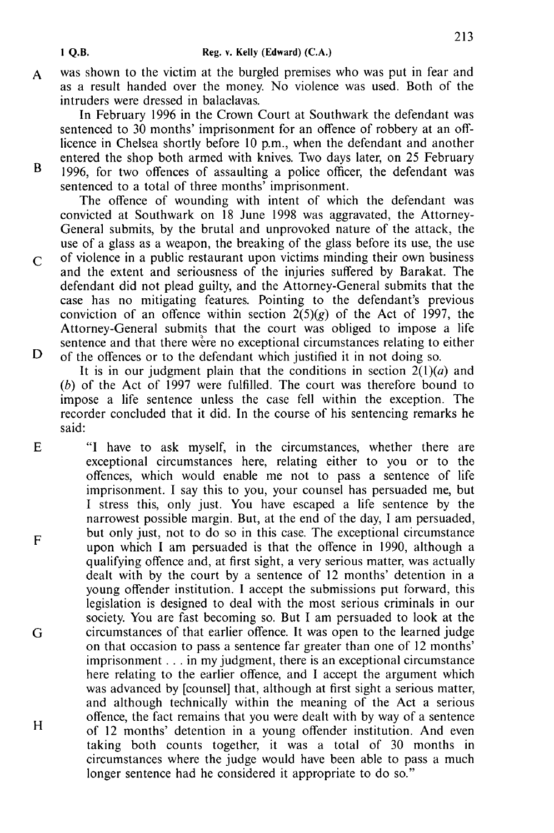- 1 Q.B.
- was shown to the victim at the burgled premises who was put in fear and  $\mathbf{A}$ as a result handed over the money. No violence was used. Both of the intruders were dressed in balaclavas.

In February 1996 in the Crown Court at Southwark the defendant was sentenced to 30 months' imprisonment for an offence of robbery at an offlicence in Chelsea shortly before 10 p.m., when the defendant and another entered the shop both armed with knives. Two days later, on 25 February

 $\overline{B}$ 

1996, for two offences of assaulting a police officer, the defendant was sentenced to a total of three months' imprisonment.

The offence of wounding with intent of which the defendant was convicted at Southwark on 18 June 1998 was aggravated, the Attorney-General submits, by the brutal and unprovoked nature of the attack, the use of a glass as a weapon, the breaking of the glass before its use, the use

of violence in a public restaurant upon victims minding their own business  $\overline{C}$ and the extent and seriousness of the injuries suffered by Barakat. The defendant did not plead guilty, and the Attorney-General submits that the case has no mitigating features. Pointing to the defendant's previous conviction of an offence within section  $2(5)(g)$  of the Act of 1997, the Attorney-General submits that the court was obliged to impose a life sentence and that there were no exceptional circumstances relating to either D of the offences or to the defendant which justified it in not doing so.

It is in our judgment plain that the conditions in section  $2(1)(a)$  and (b) of the Act of 1997 were fulfilled. The court was therefore bound to impose a life sentence unless the case fell within the exception. The recorder concluded that it did. In the course of his sentencing remarks he said:

E "I have to ask myself, in the circumstances, whether there are exceptional circumstances here, relating either to you or to the offences, which would enable me not to pass a sentence of life imprisonment. I say this to you, your counsel has persuaded me, but I stress this, only just. You have escaped a life sentence by the narrowest possible margin. But, at the end of the day, I am persuaded, but only just, not to do so in this case. The exceptional circumstance F upon which I am persuaded is that the offence in 1990, although a qualifying offence and, at first sight, a very serious matter, was actually dealt with by the court by a sentence of 12 months' detention in a young offender institution. I accept the submissions put forward, this legislation is designed to deal with the most serious criminals in our society. You are fast becoming so. But I am persuaded to look at the circumstances of that earlier offence. It was open to the learned judge G on that occasion to pass a sentence far greater than one of 12 months' imprisonment . . . in my judgment, there is an exceptional circumstance here relating to the earlier offence, and I accept the argument which was advanced by [counsel] that, although at first sight a serious matter, and although technically within the meaning of the Act a serious offence, the fact remains that you were dealt with by way of a sentence H of 12 months' detention in a young offender institution. And even taking both counts together, it was a total of 30 months in circumstances where the judge would have been able to pass a much longer sentence had he considered it appropriate to do so."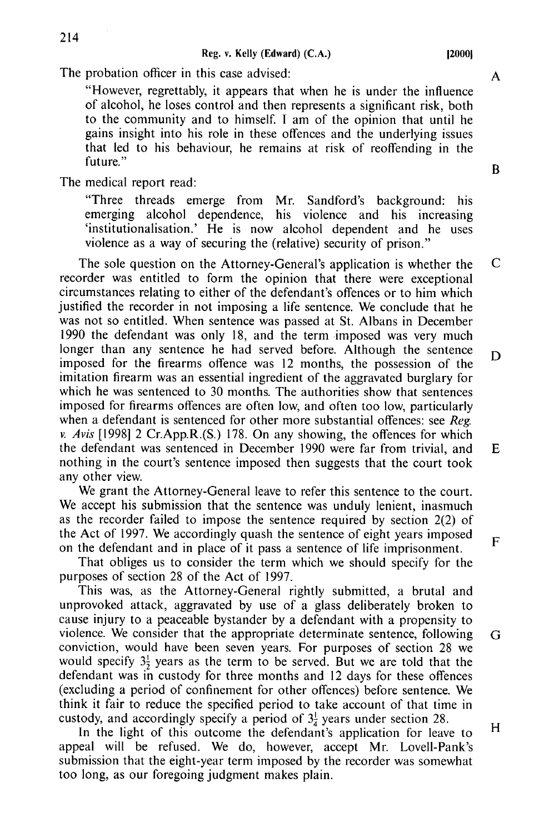120001

The probation officer in this case advised:

"However, regrettably, it appears that when he is under the influence of alcohol, he loses control and then represents a significant risk, both to the community and to himself. I am of the opinion that until he gains insight into his role in these offences and the underlying issues that led to his behaviour, he remains at risk of reoffending in the future."

The medical report read:

"Three threads emerge from Mr. Sandford's background: his emerging alcohol dependence, his violence and his increasing 'institutionalisation.' He is now alcohol dependent and he uses violence as a way of securing the (relative) security of prison."

 $\mathsf{C}$ The sole question on the Attorney-General's application is whether the recorder was entitled to form the opinion that there were exceptional circumstances relating to either of the defendant's offences or to him which justified the recorder in not imposing a life sentence. We conclude that he was not so entitled. When sentence was passed at St. Albans in December 1990 the defendant was only 18, and the term imposed was very much longer than any sentence he had served before. Although the sentence D imposed for the firearms offence was 12 months, the possession of the imitation firearm was an essential ingredient of the aggravated burglary for which he was sentenced to 30 months. The authorities show that sentences imposed for firearms offences are often low, and often too low, particularly when a defendant is sentenced for other more substantial offences: see Reg. v. Avis [1998] 2 Cr. App. R. (S.) 178. On any showing, the offences for which the defendant was sentenced in December 1990 were far from trivial, and  $E$ nothing in the court's sentence imposed then suggests that the court took any other view.

We grant the Attorney-General leave to refer this sentence to the court. We accept his submission that the sentence was unduly lenient, inasmuch as the recorder failed to impose the sentence required by section  $2(2)$  of the Act of 1997. We accordingly quash the sentence of eight years imposed on the defendant and in place of it pass a sentence of life imprisonment.

That obliges us to consider the term which we should specify for the purposes of section 28 of the Act of 1997.

This was, as the Attorney-General rightly submitted, a brutal and unprovoked attack, aggravated by use of a glass deliberately broken to cause injury to a peaceable by stander by a defendant with a propensity to violence. We consider that the appropriate determinate sentence, following conviction, would have been seven years. For purposes of section 28 we would specify  $3\frac{1}{2}$  years as the term to be served. But we are told that the defendant was in custody for three months and 12 days for these offences (excluding a period of confinement for other offences) before sentence. We think it fair to reduce the specified period to take account of that time in custody, and accordingly specify a period of  $3\frac{1}{4}$  years under section 28.

In the light of this outcome the defendant's application for leave to appeal will be refused. We do, however, accept Mr. Lovell-Pank's submission that the eight-year term imposed by the recorder was somewhat too long, as our foregoing judgment makes plain.

 $\mathbf{B}$ 

 $\mathbf{A}$ 

 $\mathbf{F}$ 

G

 $H_{\rm}$